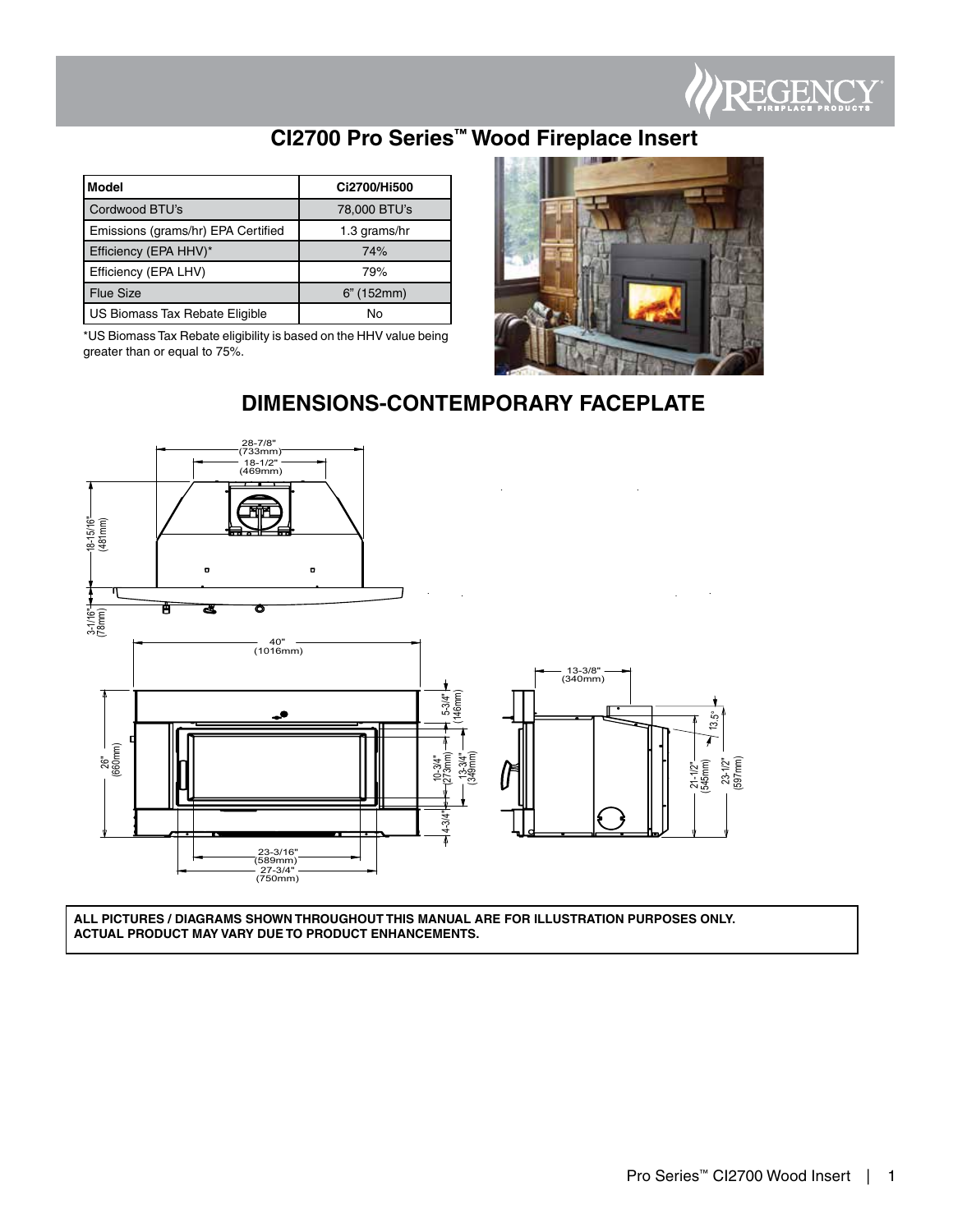

# **CI2700 Pro Series™ Wood Fireplace Insert**

| l Model                            | Ci2700/Hi500 |
|------------------------------------|--------------|
| Cordwood BTU's                     | 78,000 BTU's |
| Emissions (grams/hr) EPA Certified | 1.3 grams/hr |
| Efficiency (EPA HHV)*              | 74%          |
| Efficiency (EPA LHV)               | 79%          |
| <b>Flue Size</b>                   | 6" (152mm)   |
| US Biomass Tax Rebate Eligible     | No           |

\*US Biomass Tax Rebate eligibility is based on the HHV value being greater than or equal to 75%.



## **DIMENSIONS-CONTEMPORARY FACEPLATE**



**ALL PICTURES / DIAGRAMS SHOWN THROUGHOUT THIS MANUAL ARE FOR ILLUSTRATION PURPOSES ONLY. ACTUAL PRODUCT MAY VARY DUE TO PRODUCT ENHANCEMENTS.**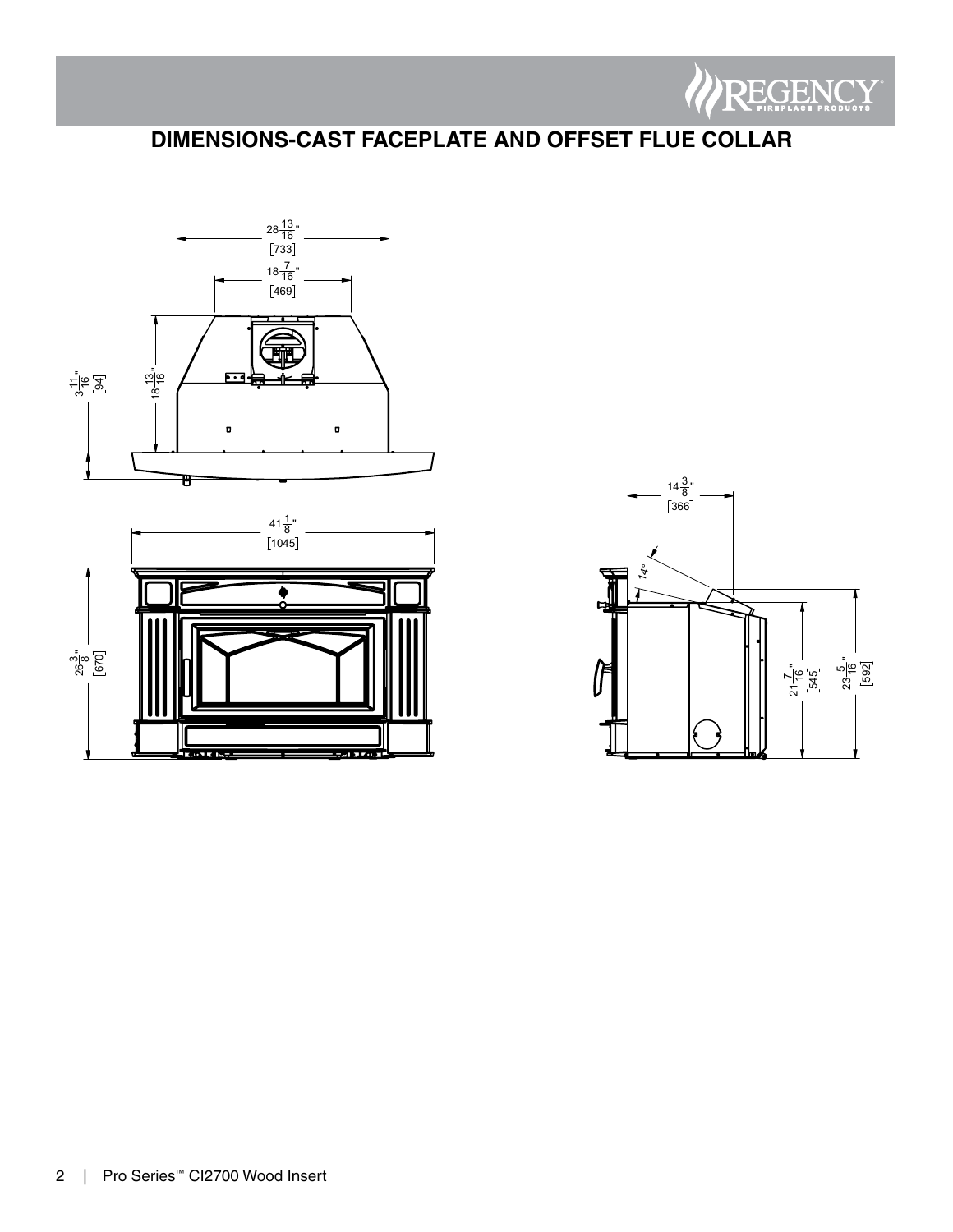

# **DIMENSIONS-CAST FACEPLATE AND OFFSET FLUE COLLAR**





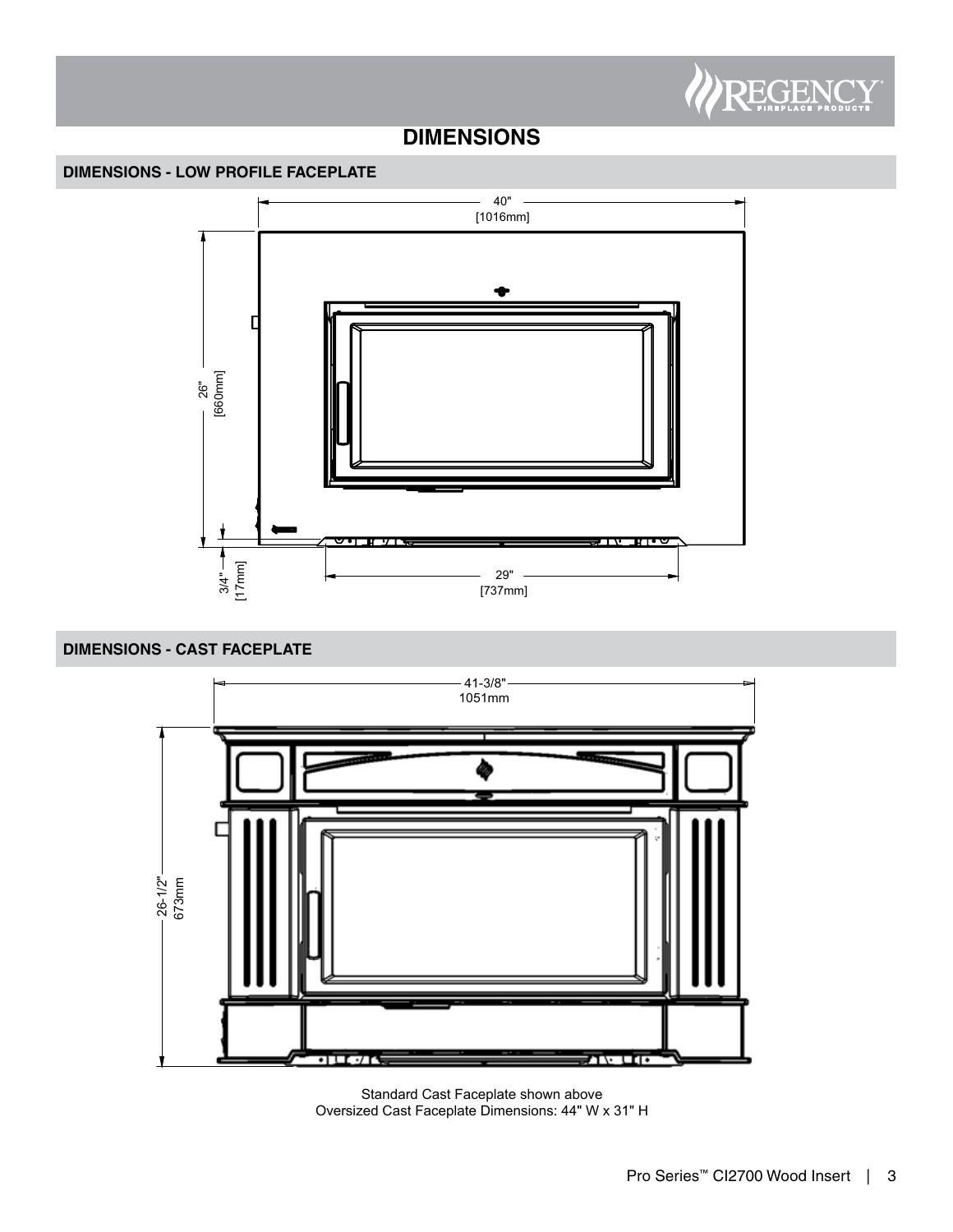

## **DIMENSIONS**

### **DIMENSIONS - LOW PROFILE FACEPLATE**



### **DIMENSIONS - CAST FACEPLATE**



Standard Cast Faceplate shown above Oversized Cast Faceplate Dimensions: 44" W x 31" H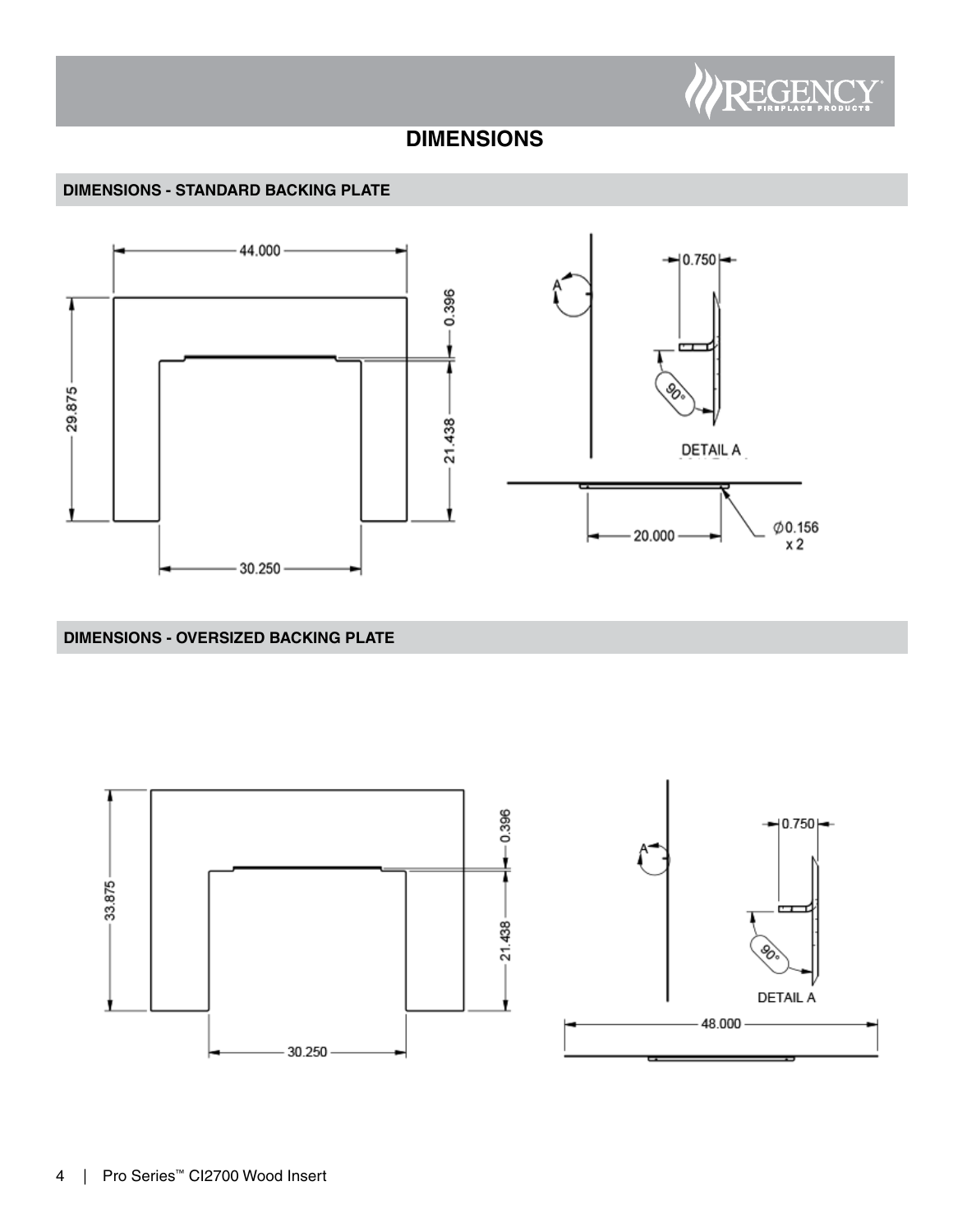

## **DIMENSIONS**

### **DIMENSIONS - STANDARD BACKING PLATE**



## **DIMENSIONS - OVERSIZED BACKING PLATE**